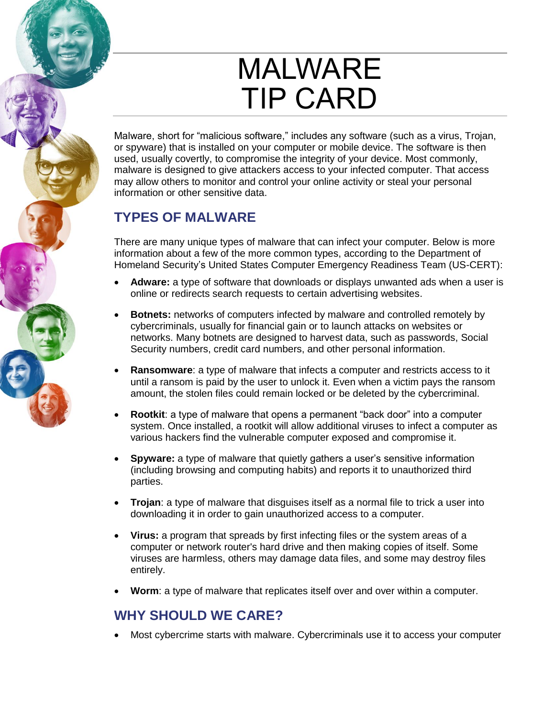# MALWARE TIP CARD

Malware, short for "malicious software," includes any software (such as a virus, Trojan, or spyware) that is installed on your computer or mobile device. The software is then used, usually covertly, to compromise the integrity of your device. Most commonly, malware is designed to give attackers access to your infected computer. That access may allow others to monitor and control your online activity or steal your personal information or other sensitive data.

# **TYPES OF MALWARE**

There are many unique types of malware that can infect your computer. Below is more information about a few of the more common types, according to the Department of Homeland Security's United States Computer Emergency Readiness Team (US-CERT):

- **Adware:** a type of software that downloads or displays unwanted ads when a user is online or redirects search requests to certain advertising websites.
- **Botnets:** networks of computers infected by malware and controlled remotely by cybercriminals, usually for financial gain or to launch attacks on websites or networks. Many botnets are designed to harvest data, such as passwords, Social Security numbers, credit card numbers, and other personal information.
- **Ransomware**: a type of malware that infects a computer and restricts access to it until a ransom is paid by the user to unlock it. Even when a victim pays the ransom amount, the stolen files could remain locked or be deleted by the cybercriminal.
- **Rootkit**: a type of malware that opens a permanent "back door" into a computer system. Once installed, a rootkit will allow additional viruses to infect a computer as various hackers find the vulnerable computer exposed and compromise it.
- **Spyware:** a type of malware that quietly gathers a user's sensitive information (including browsing and computing habits) and reports it to unauthorized third parties.
- **Trojan**: a type of malware that disguises itself as a normal file to trick a user into downloading it in order to gain unauthorized access to a computer.
- **Virus:** a program that spreads by first infecting files or the system areas of a computer or network router's hard drive and then making copies of itself. Some viruses are harmless, others may damage data files, and some may destroy files entirely.
- **Worm**: a type of malware that replicates itself over and over within a computer.

## **WHY SHOULD WE CARE?**

Most cybercrime starts with malware. Cybercriminals use it to access your computer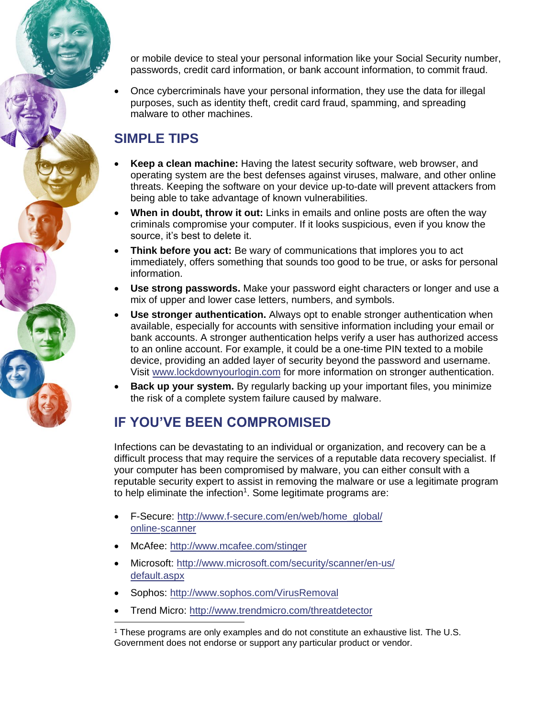or mobile device to steal your personal information like your Social Security number, passwords, credit card information, or bank account information, to commit fraud.

 Once cybercriminals have your personal information, they use the data for illegal purposes, such as identity theft, credit card fraud, spamming, and spreading malware to other machines.

## **SIMPLE TIPS**

- **Keep a clean machine:** Having the latest security software, web browser, and operating system are the best defenses against viruses, malware, and other online threats. Keeping the software on your device up-to-date will prevent attackers from being able to take advantage of known vulnerabilities.
- **When in doubt, throw it out:** Links in emails and online posts are often the way criminals compromise your computer. If it looks suspicious, even if you know the source, it's best to delete it.
- **Think before you act:** Be wary of communications that implores you to act immediately, offers something that sounds too good to be true, or asks for personal information.
- **Use strong passwords.** Make your password eight characters or longer and use a mix of upper and lower case letters, numbers, and symbols.
- **Use stronger authentication.** Always opt to enable stronger authentication when available, especially for accounts with sensitive information including your email or bank accounts. A stronger authentication helps verify a user has authorized access to an online account. For example, it could be a one-time PIN texted to a mobile device, providing an added layer of security beyond the password and username. Visit [www.lockdownyourlogin.com](http://www.lockdownyourlogin.com/) for more information on stronger authentication.
- **Back up your system.** By regularly backing up your important files, you minimize the risk of a complete system failure caused by malware.

# **IF YOU'VE BEEN COMPROMISED**

Infections can be devastating to an individual or organization, and recovery can be a difficult process that may require the services of a reputable data recovery specialist. If your computer has been compromised by malware, you can either consult with a reputable security expert to assist in removing the malware or use a legitimate program to help eliminate the infection<sup>1</sup>. Some legitimate programs are:

- F-Secure: [http://www.f-secure.com/en/web/home\\_global/](http://www.f-secure.com/en/web/home_global/online-scanner) online-s[canner](http://www.mcafee.com/stinger)
- McAfee: [http://www.mcafee.com/stinger](http://www.microsoft.com/security/scanner/en-us/default.aspx)
- Microso[ft: http://www.microsoft.com/security/sca](http://www.sophos.com/VirusRemoval)nner/en-us/ default.aspx
- Sophos: http[://www.sophos.com/VirusRemoval](http://www.trendmicro.com/threatdetector)
- Trend Micro: http://www.trendmicro.com/threatdetector

1 These programs are only examples and do not constitute an exhaustive list. The U.S. Government does not endorse or support any particular product or vendor.